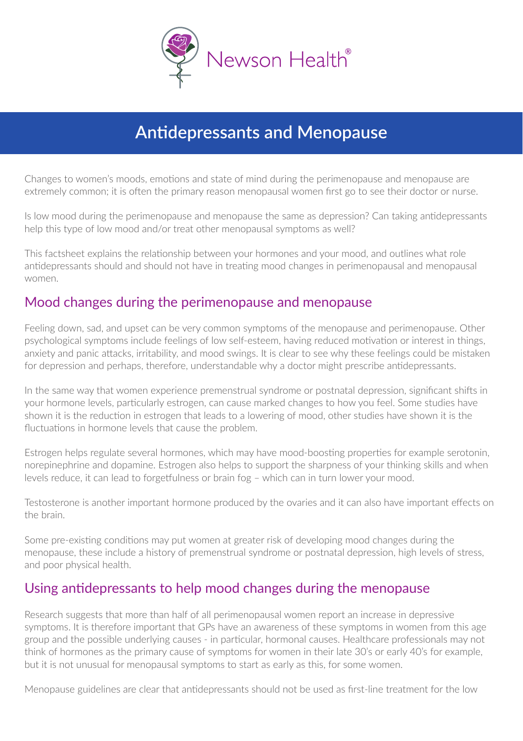

# **Antidepressants and Menopause**

Changes to women's moods, emotions and state of mind during the perimenopause and menopause are extremely common; it is often the primary reason menopausal women first go to see their doctor or nurse.

Is low mood during the perimenopause and menopause the same as depression? Can taking antidepressants help this type of low mood and/or treat other menopausal symptoms as well?

This factsheet explains the relationship between your hormones and your mood, and outlines what role antidepressants should and should not have in treating mood changes in perimenopausal and menopausal women.

#### Mood changes during the perimenopause and menopause

Feeling down, sad, and upset can be very common symptoms of the menopause and perimenopause. Other psychological symptoms include feelings of low self-esteem, having reduced motivation or interest in things, anxiety and panic attacks, irritability, and mood swings. It is clear to see why these feelings could be mistaken for depression and perhaps, therefore, understandable why a doctor might prescribe antidepressants.

In the same way that women experience premenstrual syndrome or postnatal depression, significant shifts in your hormone levels, particularly estrogen, can cause marked changes to how you feel. Some studies have shown it is the reduction in estrogen that leads to a lowering of mood, other studies have shown it is the fluctuations in hormone levels that cause the problem.

Estrogen helps regulate several hormones, which may have mood-boosting properties for example serotonin, norepinephrine and dopamine. Estrogen also helps to support the sharpness of your thinking skills and when levels reduce, it can lead to forgetfulness or brain fog – which can in turn lower your mood.

Testosterone is another important hormone produced by the ovaries and it can also have important effects on the brain.

Some pre-existing conditions may put women at greater risk of developing mood changes during the menopause, these include a history of premenstrual syndrome or postnatal depression, high levels of stress, and poor physical health.

#### Using antidepressants to help mood changes during the menopause

Research suggests that more than half of all perimenopausal women report an increase in depressive symptoms. It is therefore important that GPs have an awareness of these symptoms in women from this age group and the possible underlying causes in particular, hormonal causes. Healthcare professionals may not think of hormones as the primary cause of symptoms for women in their late 30's or early 40's for example, but it is not unusual for menopausal symptoms to start as early as this, for some women.

Menopause guidelines are clear that antidepressants should not be used as first-line treatment for the low